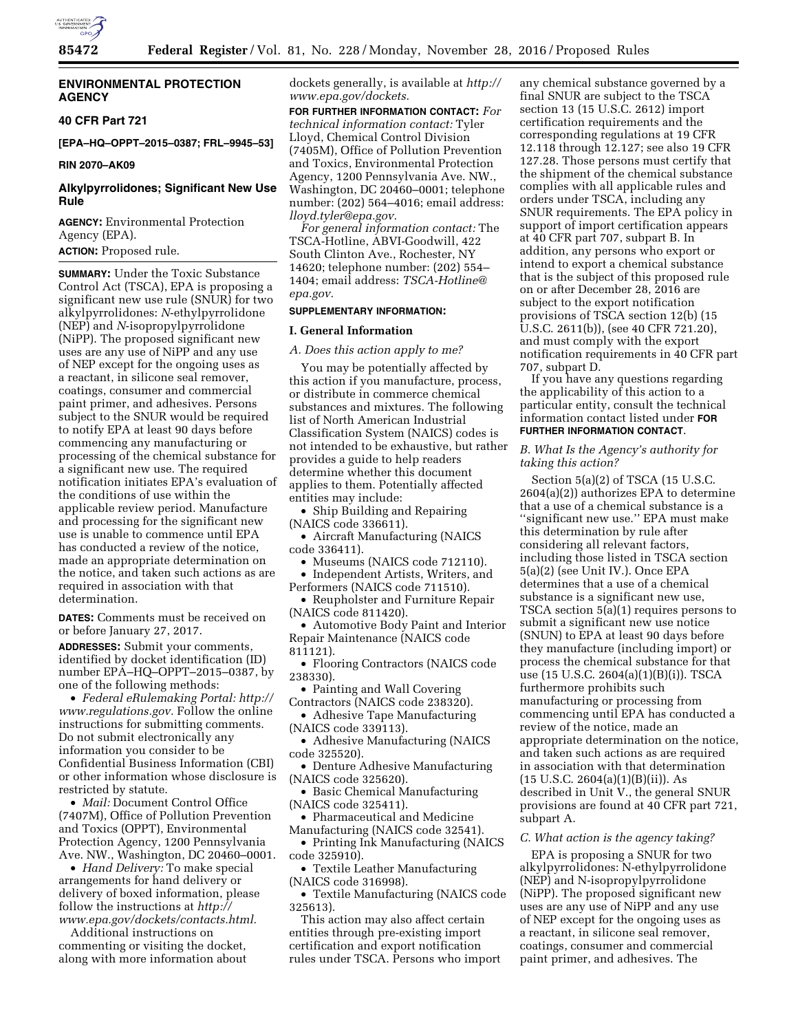

### **ENVIRONMENTAL PROTECTION AGENCY**

**40 CFR Part 721** 

**[EPA–HQ–OPPT–2015–0387; FRL–9945–53]** 

#### **RIN 2070–AK09**

## **Alkylpyrrolidones; Significant New Use Rule**

**AGENCY:** Environmental Protection Agency (EPA).

## **ACTION:** Proposed rule.

**SUMMARY:** Under the Toxic Substance Control Act (TSCA), EPA is proposing a significant new use rule (SNUR) for two alkylpyrrolidones: *N*-ethylpyrrolidone (NEP) and *N*-isopropylpyrrolidone (NiPP). The proposed significant new uses are any use of NiPP and any use of NEP except for the ongoing uses as a reactant, in silicone seal remover, coatings, consumer and commercial paint primer, and adhesives. Persons subject to the SNUR would be required to notify EPA at least 90 days before commencing any manufacturing or processing of the chemical substance for a significant new use. The required notification initiates EPA's evaluation of the conditions of use within the applicable review period. Manufacture and processing for the significant new use is unable to commence until EPA has conducted a review of the notice, made an appropriate determination on the notice, and taken such actions as are required in association with that determination.

**DATES:** Comments must be received on or before January 27, 2017.

**ADDRESSES:** Submit your comments, identified by docket identification (ID) number EPA–HQ–OPPT–2015–0387, by one of the following methods:

• *Federal eRulemaking Portal: [http://](http://www.regulations.gov)  [www.regulations.gov.](http://www.regulations.gov)* Follow the online instructions for submitting comments. Do not submit electronically any information you consider to be Confidential Business Information (CBI) or other information whose disclosure is restricted by statute.

• *Mail:* Document Control Office (7407M), Office of Pollution Prevention and Toxics (OPPT), Environmental Protection Agency, 1200 Pennsylvania Ave. NW., Washington, DC 20460–0001.

• *Hand Delivery:* To make special arrangements for hand delivery or delivery of boxed information, please follow the instructions at *[http://](http://www.epa.gov/dockets/contacts.html) [www.epa.gov/dockets/contacts.html.](http://www.epa.gov/dockets/contacts.html)* 

Additional instructions on commenting or visiting the docket, along with more information about dockets generally, is available at *[http://](http://www.epa.gov/dockets) [www.epa.gov/dockets.](http://www.epa.gov/dockets)* 

**FOR FURTHER INFORMATION CONTACT:** *For technical information contact:* Tyler Lloyd, Chemical Control Division (7405M), Office of Pollution Prevention and Toxics, Environmental Protection Agency, 1200 Pennsylvania Ave. NW., Washington, DC 20460–0001; telephone number: (202) 564–4016; email address: *[lloyd.tyler@epa.gov.](mailto:lloyd.tyler@epa.gov)* 

*For general information contact:* The TSCA-Hotline, ABVI-Goodwill, 422 South Clinton Ave., Rochester, NY 14620; telephone number: (202) 554– 1404; email address: *[TSCA-Hotline@](mailto:TSCA-Hotline@epa.gov) [epa.gov.](mailto:TSCA-Hotline@epa.gov)* 

#### **SUPPLEMENTARY INFORMATION:**

### **I. General Information**

*A. Does this action apply to me?* 

You may be potentially affected by this action if you manufacture, process, or distribute in commerce chemical substances and mixtures. The following list of North American Industrial Classification System (NAICS) codes is not intended to be exhaustive, but rather provides a guide to help readers determine whether this document applies to them. Potentially affected entities may include:

• Ship Building and Repairing (NAICS code 336611).

• Aircraft Manufacturing (NAICS code 336411).

• Museums (NAICS code 712110).

• Independent Artists, Writers, and Performers (NAICS code 711510).

• Reupholster and Furniture Repair (NAICS code 811420).

• Automotive Body Paint and Interior Repair Maintenance (NAICS code 811121).

• Flooring Contractors (NAICS code 238330).

• Painting and Wall Covering Contractors (NAICS code 238320).

• Adhesive Tape Manufacturing (NAICS code 339113).

• Adhesive Manufacturing (NAICS code 325520).

• Denture Adhesive Manufacturing (NAICS code 325620).

• Basic Chemical Manufacturing (NAICS code 325411).

• Pharmaceutical and Medicine Manufacturing (NAICS code 32541).

• Printing Ink Manufacturing (NAICS code 325910).

• Textile Leather Manufacturing (NAICS code 316998).

• Textile Manufacturing (NAICS code 325613).

This action may also affect certain entities through pre-existing import certification and export notification rules under TSCA. Persons who import

any chemical substance governed by a final SNUR are subject to the TSCA section 13 (15 U.S.C. 2612) import certification requirements and the corresponding regulations at 19 CFR 12.118 through 12.127; see also 19 CFR 127.28. Those persons must certify that the shipment of the chemical substance complies with all applicable rules and orders under TSCA, including any SNUR requirements. The EPA policy in support of import certification appears at 40 CFR part 707, subpart B. In addition, any persons who export or intend to export a chemical substance that is the subject of this proposed rule on or after December 28, 2016 are subject to the export notification provisions of TSCA section 12(b) (15 U.S.C. 2611(b)), (see 40 CFR 721.20), and must comply with the export notification requirements in 40 CFR part 707, subpart D.

If you have any questions regarding the applicability of this action to a particular entity, consult the technical information contact listed under **FOR FURTHER INFORMATION CONTACT**.

### *B. What Is the Agency's authority for taking this action?*

Section 5(a)(2) of TSCA (15 U.S.C. 2604(a)(2)) authorizes EPA to determine that a use of a chemical substance is a ''significant new use.'' EPA must make this determination by rule after considering all relevant factors, including those listed in TSCA section 5(a)(2) (see Unit IV.). Once EPA determines that a use of a chemical substance is a significant new use, TSCA section 5(a)(1) requires persons to submit a significant new use notice (SNUN) to EPA at least 90 days before they manufacture (including import) or process the chemical substance for that use (15 U.S.C. 2604(a)(1)(B)(i)). TSCA furthermore prohibits such manufacturing or processing from commencing until EPA has conducted a review of the notice, made an appropriate determination on the notice, and taken such actions as are required in association with that determination  $(15 \text{ U.S.C. } 2604(a)(1)(B)(ii))$ . As described in Unit V., the general SNUR provisions are found at 40 CFR part 721, subpart A.

#### *C. What action is the agency taking?*

EPA is proposing a SNUR for two alkylpyrrolidones: N-ethylpyrrolidone (NEP) and N-isopropylpyrrolidone (NiPP). The proposed significant new uses are any use of NiPP and any use of NEP except for the ongoing uses as a reactant, in silicone seal remover, coatings, consumer and commercial paint primer, and adhesives. The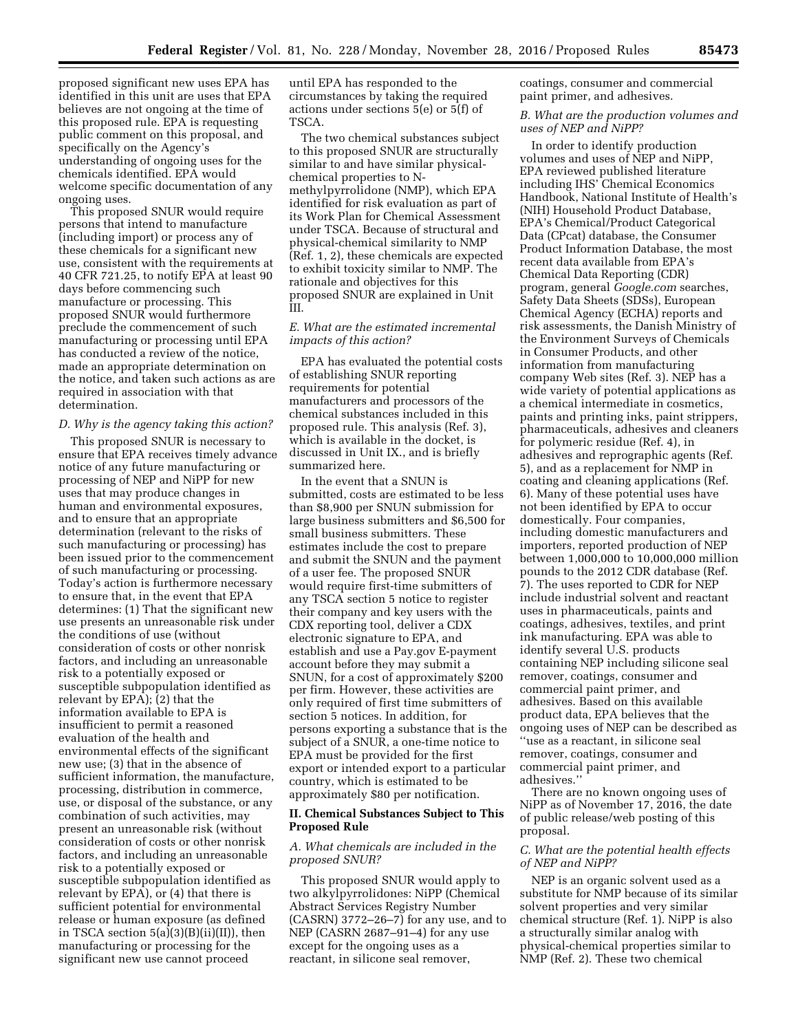proposed significant new uses EPA has identified in this unit are uses that EPA believes are not ongoing at the time of this proposed rule. EPA is requesting public comment on this proposal, and specifically on the Agency's understanding of ongoing uses for the chemicals identified. EPA would welcome specific documentation of any ongoing uses.

This proposed SNUR would require persons that intend to manufacture (including import) or process any of these chemicals for a significant new use, consistent with the requirements at 40 CFR 721.25, to notify EPA at least 90 days before commencing such manufacture or processing. This proposed SNUR would furthermore preclude the commencement of such manufacturing or processing until EPA has conducted a review of the notice, made an appropriate determination on the notice, and taken such actions as are required in association with that determination.

#### *D. Why is the agency taking this action?*

This proposed SNUR is necessary to ensure that EPA receives timely advance notice of any future manufacturing or processing of NEP and NiPP for new uses that may produce changes in human and environmental exposures, and to ensure that an appropriate determination (relevant to the risks of such manufacturing or processing) has been issued prior to the commencement of such manufacturing or processing. Today's action is furthermore necessary to ensure that, in the event that EPA determines: (1) That the significant new use presents an unreasonable risk under the conditions of use (without consideration of costs or other nonrisk factors, and including an unreasonable risk to a potentially exposed or susceptible subpopulation identified as relevant by EPA); (2) that the information available to EPA is insufficient to permit a reasoned evaluation of the health and environmental effects of the significant new use; (3) that in the absence of sufficient information, the manufacture, processing, distribution in commerce, use, or disposal of the substance, or any combination of such activities, may present an unreasonable risk (without consideration of costs or other nonrisk factors, and including an unreasonable risk to a potentially exposed or susceptible subpopulation identified as relevant by EPA), or (4) that there is sufficient potential for environmental release or human exposure (as defined in TSCA section 5(a)(3)(B)(ii)(II)), then manufacturing or processing for the significant new use cannot proceed

until EPA has responded to the circumstances by taking the required actions under sections 5(e) or 5(f) of TSCA.

The two chemical substances subject to this proposed SNUR are structurally similar to and have similar physicalchemical properties to Nmethylpyrrolidone (NMP), which EPA identified for risk evaluation as part of its Work Plan for Chemical Assessment under TSCA. Because of structural and physical-chemical similarity to NMP (Ref. 1, 2), these chemicals are expected to exhibit toxicity similar to NMP. The rationale and objectives for this proposed SNUR are explained in Unit III.

## *E. What are the estimated incremental impacts of this action?*

EPA has evaluated the potential costs of establishing SNUR reporting requirements for potential manufacturers and processors of the chemical substances included in this proposed rule. This analysis (Ref. 3), which is available in the docket, is discussed in Unit IX., and is briefly summarized here.

In the event that a SNUN is submitted, costs are estimated to be less than \$8,900 per SNUN submission for large business submitters and \$6,500 for small business submitters. These estimates include the cost to prepare and submit the SNUN and the payment of a user fee. The proposed SNUR would require first-time submitters of any TSCA section 5 notice to register their company and key users with the CDX reporting tool, deliver a CDX electronic signature to EPA, and establish and use a Pay.gov E-payment account before they may submit a SNUN, for a cost of approximately \$200 per firm. However, these activities are only required of first time submitters of section 5 notices. In addition, for persons exporting a substance that is the subject of a SNUR, a one-time notice to EPA must be provided for the first export or intended export to a particular country, which is estimated to be approximately \$80 per notification.

#### **II. Chemical Substances Subject to This Proposed Rule**

### *A. What chemicals are included in the proposed SNUR?*

This proposed SNUR would apply to two alkylpyrrolidones: NiPP (Chemical Abstract Services Registry Number (CASRN) 3772–26–7) for any use, and to NEP (CASRN 2687–91–4) for any use except for the ongoing uses as a reactant, in silicone seal remover,

coatings, consumer and commercial paint primer, and adhesives.

### *B. What are the production volumes and uses of NEP and NiPP?*

In order to identify production volumes and uses of NEP and NiPP, EPA reviewed published literature including IHS' Chemical Economics Handbook, National Institute of Health's (NIH) Household Product Database, EPA's Chemical/Product Categorical Data (CPcat) database, the Consumer Product Information Database, the most recent data available from EPA's Chemical Data Reporting (CDR) program, general *Google.com* searches, Safety Data Sheets (SDSs), European Chemical Agency (ECHA) reports and risk assessments, the Danish Ministry of the Environment Surveys of Chemicals in Consumer Products, and other information from manufacturing company Web sites (Ref. 3). NEP has a wide variety of potential applications as a chemical intermediate in cosmetics, paints and printing inks, paint strippers, pharmaceuticals, adhesives and cleaners for polymeric residue (Ref. 4), in adhesives and reprographic agents (Ref. 5), and as a replacement for NMP in coating and cleaning applications (Ref. 6). Many of these potential uses have not been identified by EPA to occur domestically. Four companies, including domestic manufacturers and importers, reported production of NEP between 1,000,000 to 10,000,000 million pounds to the 2012 CDR database (Ref. 7). The uses reported to CDR for NEP include industrial solvent and reactant uses in pharmaceuticals, paints and coatings, adhesives, textiles, and print ink manufacturing. EPA was able to identify several U.S. products containing NEP including silicone seal remover, coatings, consumer and commercial paint primer, and adhesives. Based on this available product data, EPA believes that the ongoing uses of NEP can be described as ''use as a reactant, in silicone seal remover, coatings, consumer and commercial paint primer, and adhesives.''

There are no known ongoing uses of NiPP as of November 17, 2016, the date of public release/web posting of this proposal.

## *C. What are the potential health effects of NEP and NiPP?*

NEP is an organic solvent used as a substitute for NMP because of its similar solvent properties and very similar chemical structure (Ref. 1). NiPP is also a structurally similar analog with physical-chemical properties similar to NMP (Ref. 2). These two chemical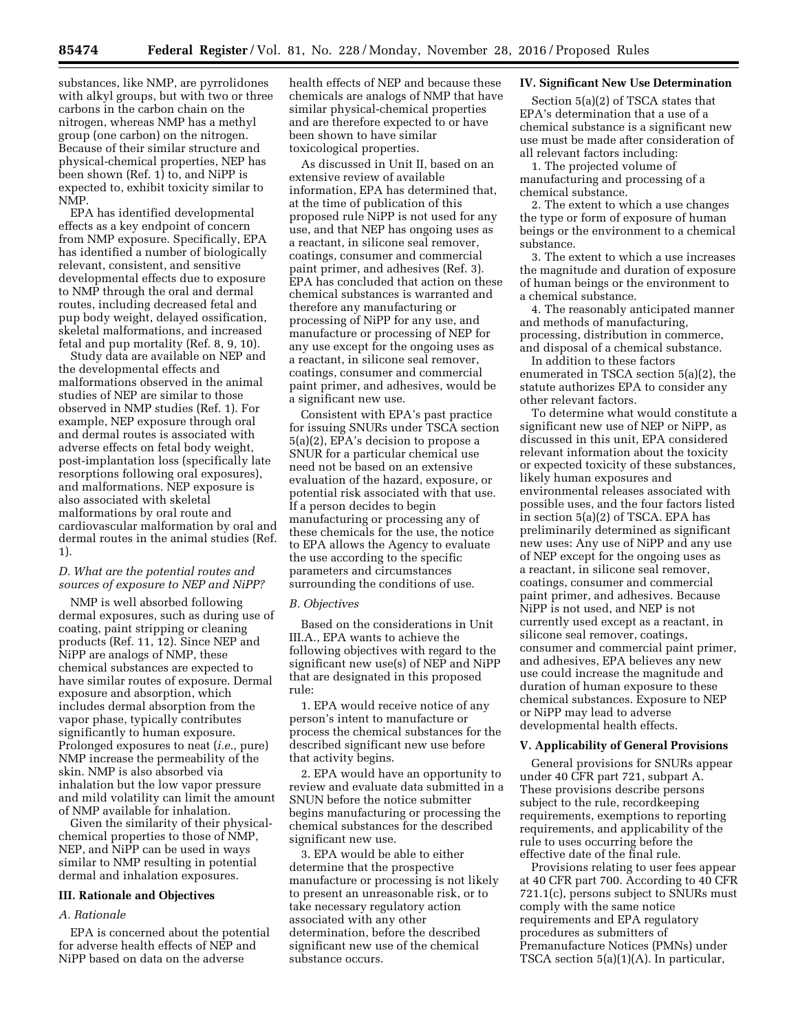substances, like NMP, are pyrrolidones with alkyl groups, but with two or three carbons in the carbon chain on the nitrogen, whereas NMP has a methyl group (one carbon) on the nitrogen. Because of their similar structure and physical-chemical properties, NEP has been shown (Ref. 1) to, and NiPP is expected to, exhibit toxicity similar to NMP.

EPA has identified developmental effects as a key endpoint of concern from NMP exposure. Specifically, EPA has identified a number of biologically relevant, consistent, and sensitive developmental effects due to exposure to NMP through the oral and dermal routes, including decreased fetal and pup body weight, delayed ossification, skeletal malformations, and increased fetal and pup mortality (Ref. 8, 9, 10).

Study data are available on NEP and the developmental effects and malformations observed in the animal studies of NEP are similar to those observed in NMP studies (Ref. 1). For example, NEP exposure through oral and dermal routes is associated with adverse effects on fetal body weight, post-implantation loss (specifically late resorptions following oral exposures), and malformations. NEP exposure is also associated with skeletal malformations by oral route and cardiovascular malformation by oral and dermal routes in the animal studies (Ref. 1).

## *D. What are the potential routes and sources of exposure to NEP and NiPP?*

NMP is well absorbed following dermal exposures, such as during use of coating, paint stripping or cleaning products (Ref. 11, 12). Since NEP and NiPP are analogs of NMP, these chemical substances are expected to have similar routes of exposure. Dermal exposure and absorption, which includes dermal absorption from the vapor phase, typically contributes significantly to human exposure. Prolonged exposures to neat (*i.e.,* pure) NMP increase the permeability of the skin. NMP is also absorbed via inhalation but the low vapor pressure and mild volatility can limit the amount of NMP available for inhalation.

Given the similarity of their physicalchemical properties to those of NMP, NEP, and NiPP can be used in ways similar to NMP resulting in potential dermal and inhalation exposures.

#### **III. Rationale and Objectives**

### *A. Rationale*

EPA is concerned about the potential for adverse health effects of NEP and NiPP based on data on the adverse

health effects of NEP and because these chemicals are analogs of NMP that have similar physical-chemical properties and are therefore expected to or have been shown to have similar toxicological properties.

As discussed in Unit II, based on an extensive review of available information, EPA has determined that, at the time of publication of this proposed rule NiPP is not used for any use, and that NEP has ongoing uses as a reactant, in silicone seal remover, coatings, consumer and commercial paint primer, and adhesives (Ref. 3). EPA has concluded that action on these chemical substances is warranted and therefore any manufacturing or processing of NiPP for any use, and manufacture or processing of NEP for any use except for the ongoing uses as a reactant, in silicone seal remover, coatings, consumer and commercial paint primer, and adhesives, would be a significant new use.

Consistent with EPA's past practice for issuing SNURs under TSCA section 5(a)(2), EPA's decision to propose a SNUR for a particular chemical use need not be based on an extensive evaluation of the hazard, exposure, or potential risk associated with that use. If a person decides to begin manufacturing or processing any of these chemicals for the use, the notice to EPA allows the Agency to evaluate the use according to the specific parameters and circumstances surrounding the conditions of use.

#### *B. Objectives*

Based on the considerations in Unit III.A., EPA wants to achieve the following objectives with regard to the significant new use(s) of NEP and NiPP that are designated in this proposed rule:

1. EPA would receive notice of any person's intent to manufacture or process the chemical substances for the described significant new use before that activity begins.

2. EPA would have an opportunity to review and evaluate data submitted in a SNUN before the notice submitter begins manufacturing or processing the chemical substances for the described significant new use.

3. EPA would be able to either determine that the prospective manufacture or processing is not likely to present an unreasonable risk, or to take necessary regulatory action associated with any other determination, before the described significant new use of the chemical substance occurs.

#### **IV. Significant New Use Determination**

Section 5(a)(2) of TSCA states that EPA's determination that a use of a chemical substance is a significant new use must be made after consideration of all relevant factors including:

1. The projected volume of manufacturing and processing of a chemical substance.

2. The extent to which a use changes the type or form of exposure of human beings or the environment to a chemical substance.

3. The extent to which a use increases the magnitude and duration of exposure of human beings or the environment to a chemical substance.

4. The reasonably anticipated manner and methods of manufacturing, processing, distribution in commerce, and disposal of a chemical substance.

In addition to these factors enumerated in TSCA section 5(a)(2), the statute authorizes EPA to consider any other relevant factors.

To determine what would constitute a significant new use of NEP or NiPP, as discussed in this unit, EPA considered relevant information about the toxicity or expected toxicity of these substances, likely human exposures and environmental releases associated with possible uses, and the four factors listed in section 5(a)(2) of TSCA. EPA has preliminarily determined as significant new uses: Any use of NiPP and any use of NEP except for the ongoing uses as a reactant, in silicone seal remover, coatings, consumer and commercial paint primer, and adhesives. Because NiPP is not used, and NEP is not currently used except as a reactant, in silicone seal remover, coatings, consumer and commercial paint primer, and adhesives, EPA believes any new use could increase the magnitude and duration of human exposure to these chemical substances. Exposure to NEP or NiPP may lead to adverse developmental health effects.

#### **V. Applicability of General Provisions**

General provisions for SNURs appear under 40 CFR part 721, subpart A. These provisions describe persons subject to the rule, recordkeeping requirements, exemptions to reporting requirements, and applicability of the rule to uses occurring before the effective date of the final rule.

Provisions relating to user fees appear at 40 CFR part 700. According to 40 CFR 721.1(c), persons subject to SNURs must comply with the same notice requirements and EPA regulatory procedures as submitters of Premanufacture Notices (PMNs) under TSCA section 5(a)(1)(A). In particular,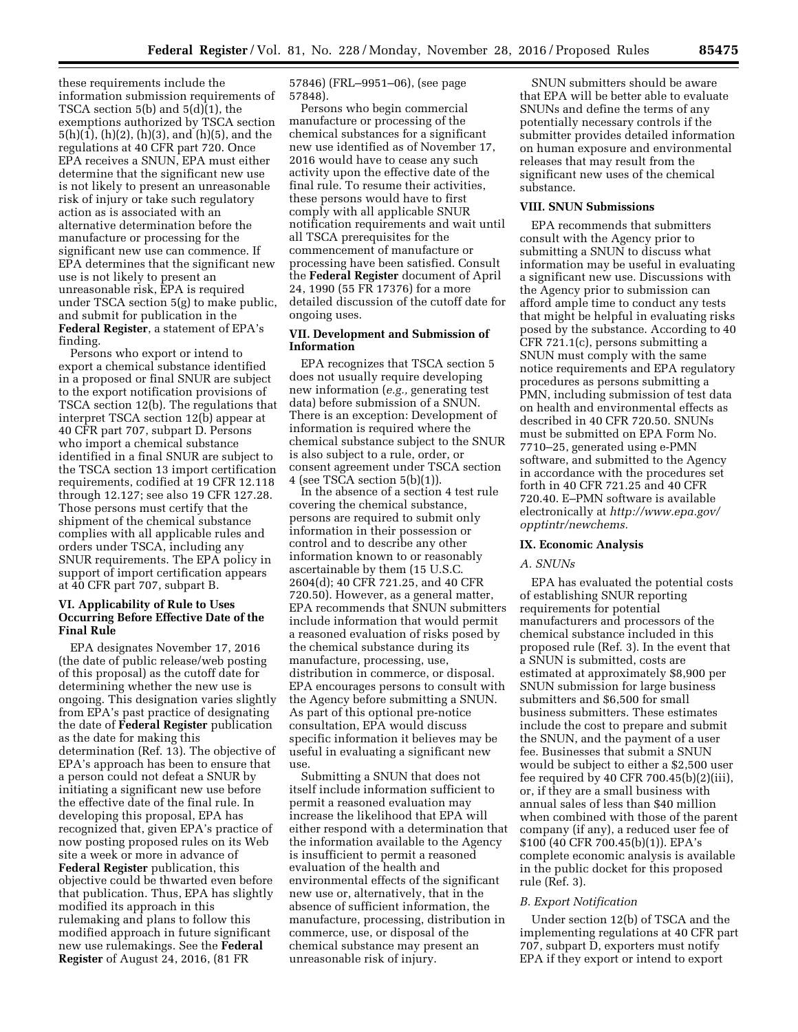these requirements include the information submission requirements of TSCA section 5(b) and 5(d)(1), the exemptions authorized by TSCA section  $5(h)(1)$ , (h)(2), (h)(3), and (h)(5), and the regulations at 40 CFR part 720. Once EPA receives a SNUN, EPA must either determine that the significant new use is not likely to present an unreasonable risk of injury or take such regulatory action as is associated with an alternative determination before the manufacture or processing for the significant new use can commence. If EPA determines that the significant new use is not likely to present an unreasonable risk, EPA is required under TSCA section 5(g) to make public, and submit for publication in the **Federal Register**, a statement of EPA's finding.

Persons who export or intend to export a chemical substance identified in a proposed or final SNUR are subject to the export notification provisions of TSCA section 12(b). The regulations that interpret TSCA section 12(b) appear at 40 CFR part 707, subpart D. Persons who import a chemical substance identified in a final SNUR are subject to the TSCA section 13 import certification requirements, codified at 19 CFR 12.118 through 12.127; see also 19 CFR 127.28. Those persons must certify that the shipment of the chemical substance complies with all applicable rules and orders under TSCA, including any SNUR requirements. The EPA policy in support of import certification appears at 40 CFR part 707, subpart B.

### **VI. Applicability of Rule to Uses Occurring Before Effective Date of the Final Rule**

EPA designates November 17, 2016 (the date of public release/web posting of this proposal) as the cutoff date for determining whether the new use is ongoing. This designation varies slightly from EPA's past practice of designating the date of **Federal Register** publication as the date for making this determination (Ref. 13). The objective of EPA's approach has been to ensure that a person could not defeat a SNUR by initiating a significant new use before the effective date of the final rule. In developing this proposal, EPA has recognized that, given EPA's practice of now posting proposed rules on its Web site a week or more in advance of **Federal Register** publication, this objective could be thwarted even before that publication. Thus, EPA has slightly modified its approach in this rulemaking and plans to follow this modified approach in future significant new use rulemakings. See the **Federal Register** of August 24, 2016, (81 FR

57846) (FRL–9951–06), (see page 57848).

Persons who begin commercial manufacture or processing of the chemical substances for a significant new use identified as of November 17, 2016 would have to cease any such activity upon the effective date of the final rule. To resume their activities, these persons would have to first comply with all applicable SNUR notification requirements and wait until all TSCA prerequisites for the commencement of manufacture or processing have been satisfied. Consult the **Federal Register** document of April 24, 1990 (55 FR 17376) for a more detailed discussion of the cutoff date for ongoing uses.

### **VII. Development and Submission of Information**

EPA recognizes that TSCA section 5 does not usually require developing new information (*e.g.,* generating test data) before submission of a SNUN. There is an exception: Development of information is required where the chemical substance subject to the SNUR is also subject to a rule, order, or consent agreement under TSCA section 4 (see TSCA section 5(b)(1)).

In the absence of a section 4 test rule covering the chemical substance, persons are required to submit only information in their possession or control and to describe any other information known to or reasonably ascertainable by them (15 U.S.C. 2604(d); 40 CFR 721.25, and 40 CFR 720.50). However, as a general matter, EPA recommends that SNUN submitters include information that would permit a reasoned evaluation of risks posed by the chemical substance during its manufacture, processing, use, distribution in commerce, or disposal. EPA encourages persons to consult with the Agency before submitting a SNUN. As part of this optional pre-notice consultation, EPA would discuss specific information it believes may be useful in evaluating a significant new use.

Submitting a SNUN that does not itself include information sufficient to permit a reasoned evaluation may increase the likelihood that EPA will either respond with a determination that the information available to the Agency is insufficient to permit a reasoned evaluation of the health and environmental effects of the significant new use or, alternatively, that in the absence of sufficient information, the manufacture, processing, distribution in commerce, use, or disposal of the chemical substance may present an unreasonable risk of injury.

SNUN submitters should be aware that EPA will be better able to evaluate SNUNs and define the terms of any potentially necessary controls if the submitter provides detailed information on human exposure and environmental releases that may result from the significant new uses of the chemical substance.

## **VIII. SNUN Submissions**

EPA recommends that submitters consult with the Agency prior to submitting a SNUN to discuss what information may be useful in evaluating a significant new use. Discussions with the Agency prior to submission can afford ample time to conduct any tests that might be helpful in evaluating risks posed by the substance. According to 40 CFR 721.1(c), persons submitting a SNUN must comply with the same notice requirements and EPA regulatory procedures as persons submitting a PMN, including submission of test data on health and environmental effects as described in 40 CFR 720.50. SNUNs must be submitted on EPA Form No. 7710–25, generated using e-PMN software, and submitted to the Agency in accordance with the procedures set forth in 40 CFR 721.25 and 40 CFR 720.40. E–PMN software is available electronically at *[http://www.epa.gov/](http://www.epa.gov/opptintr/newchems)  [opptintr/newchems.](http://www.epa.gov/opptintr/newchems)* 

### **IX. Economic Analysis**

#### *A. SNUNs*

EPA has evaluated the potential costs of establishing SNUR reporting requirements for potential manufacturers and processors of the chemical substance included in this proposed rule (Ref. 3). In the event that a SNUN is submitted, costs are estimated at approximately \$8,900 per SNUN submission for large business submitters and \$6,500 for small business submitters. These estimates include the cost to prepare and submit the SNUN, and the payment of a user fee. Businesses that submit a SNUN would be subject to either a \$2,500 user fee required by 40 CFR  $700.45(b)(2)(iii)$ , or, if they are a small business with annual sales of less than \$40 million when combined with those of the parent company (if any), a reduced user fee of \$100 (40 CFR 700.45(b)(1)). EPA's complete economic analysis is available in the public docket for this proposed rule (Ref. 3).

### *B. Export Notification*

Under section 12(b) of TSCA and the implementing regulations at 40 CFR part 707, subpart D, exporters must notify EPA if they export or intend to export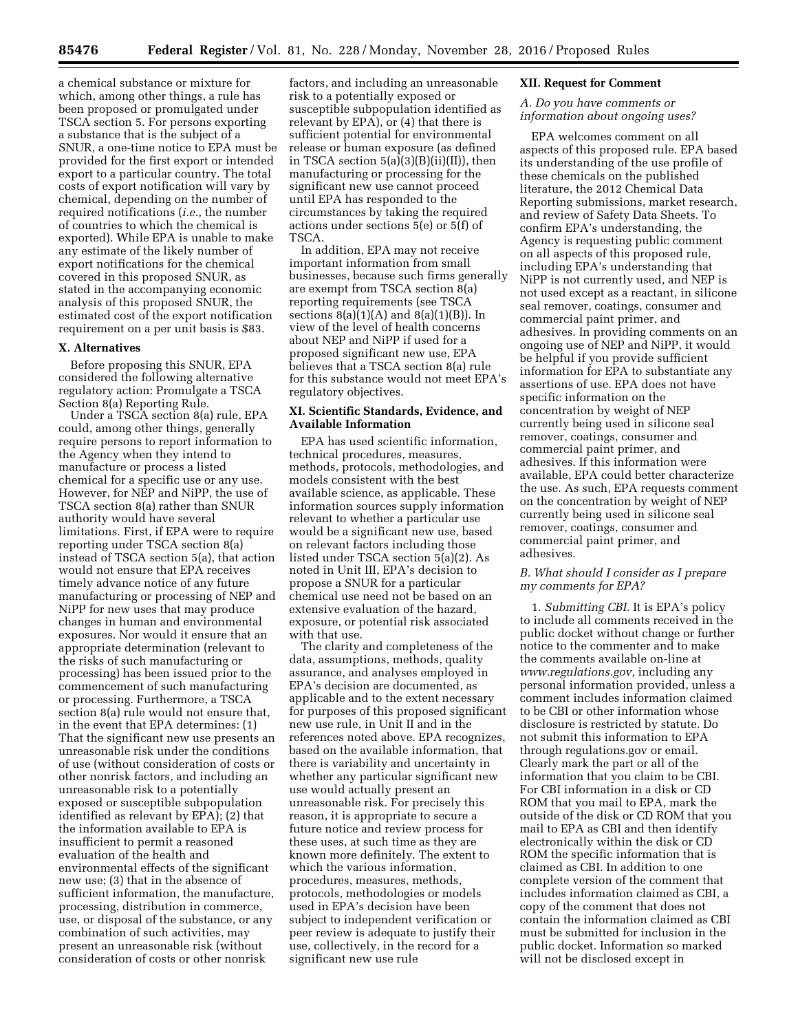a chemical substance or mixture for which, among other things, a rule has been proposed or promulgated under TSCA section 5. For persons exporting a substance that is the subject of a SNUR, a one-time notice to EPA must be provided for the first export or intended export to a particular country. The total costs of export notification will vary by chemical, depending on the number of required notifications (*i.e.,* the number of countries to which the chemical is exported). While EPA is unable to make any estimate of the likely number of export notifications for the chemical covered in this proposed SNUR, as stated in the accompanying economic analysis of this proposed SNUR, the estimated cost of the export notification requirement on a per unit basis is \$83.

#### **X. Alternatives**

Before proposing this SNUR, EPA considered the following alternative regulatory action: Promulgate a TSCA Section 8(a) Reporting Rule.

Under a TSCA section 8(a) rule, EPA could, among other things, generally require persons to report information to the Agency when they intend to manufacture or process a listed chemical for a specific use or any use. However, for NEP and NiPP, the use of TSCA section 8(a) rather than SNUR authority would have several limitations. First, if EPA were to require reporting under TSCA section 8(a) instead of TSCA section 5(a), that action would not ensure that EPA receives timely advance notice of any future manufacturing or processing of NEP and NiPP for new uses that may produce changes in human and environmental exposures. Nor would it ensure that an appropriate determination (relevant to the risks of such manufacturing or processing) has been issued prior to the commencement of such manufacturing or processing. Furthermore, a TSCA section 8(a) rule would not ensure that, in the event that EPA determines: (1) That the significant new use presents an unreasonable risk under the conditions of use (without consideration of costs or other nonrisk factors, and including an unreasonable risk to a potentially exposed or susceptible subpopulation identified as relevant by EPA); (2) that the information available to EPA is insufficient to permit a reasoned evaluation of the health and environmental effects of the significant new use; (3) that in the absence of sufficient information, the manufacture, processing, distribution in commerce, use, or disposal of the substance, or any combination of such activities, may present an unreasonable risk (without consideration of costs or other nonrisk

factors, and including an unreasonable risk to a potentially exposed or susceptible subpopulation identified as relevant by EPA), or (4) that there is sufficient potential for environmental release or human exposure (as defined in TSCA section  $5(a)(3)(B)(ii)(II)$ , then manufacturing or processing for the significant new use cannot proceed until EPA has responded to the circumstances by taking the required actions under sections 5(e) or 5(f) of TSCA.

In addition, EPA may not receive important information from small businesses, because such firms generally are exempt from TSCA section 8(a) reporting requirements (see TSCA sections  $8(a)(1)(A)$  and  $8(a)(1)(B)$ ). In view of the level of health concerns about NEP and NiPP if used for a proposed significant new use, EPA believes that a TSCA section 8(a) rule for this substance would not meet EPA's regulatory objectives.

#### **XI. Scientific Standards, Evidence, and Available Information**

EPA has used scientific information, technical procedures, measures, methods, protocols, methodologies, and models consistent with the best available science, as applicable. These information sources supply information relevant to whether a particular use would be a significant new use, based on relevant factors including those listed under TSCA section 5(a)(2). As noted in Unit III, EPA's decision to propose a SNUR for a particular chemical use need not be based on an extensive evaluation of the hazard, exposure, or potential risk associated with that use.

The clarity and completeness of the data, assumptions, methods, quality assurance, and analyses employed in EPA's decision are documented, as applicable and to the extent necessary for purposes of this proposed significant new use rule, in Unit II and in the references noted above. EPA recognizes, based on the available information, that there is variability and uncertainty in whether any particular significant new use would actually present an unreasonable risk. For precisely this reason, it is appropriate to secure a future notice and review process for these uses, at such time as they are known more definitely. The extent to which the various information, procedures, measures, methods, protocols, methodologies or models used in EPA's decision have been subject to independent verification or peer review is adequate to justify their use, collectively, in the record for a significant new use rule

### **XII. Request for Comment**

### *A. Do you have comments or information about ongoing uses?*

EPA welcomes comment on all aspects of this proposed rule. EPA based its understanding of the use profile of these chemicals on the published literature, the 2012 Chemical Data Reporting submissions, market research, and review of Safety Data Sheets. To confirm EPA's understanding, the Agency is requesting public comment on all aspects of this proposed rule, including EPA's understanding that NiPP is not currently used, and NEP is not used except as a reactant, in silicone seal remover, coatings, consumer and commercial paint primer, and adhesives. In providing comments on an ongoing use of NEP and NiPP, it would be helpful if you provide sufficient information for EPA to substantiate any assertions of use. EPA does not have specific information on the concentration by weight of NEP currently being used in silicone seal remover, coatings, consumer and commercial paint primer, and adhesives. If this information were available, EPA could better characterize the use. As such, EPA requests comment on the concentration by weight of NEP currently being used in silicone seal remover, coatings, consumer and commercial paint primer, and adhesives.

### *B. What should I consider as I prepare my comments for EPA?*

1. *Submitting CBI.* It is EPA's policy to include all comments received in the public docket without change or further notice to the commenter and to make the comments available on-line at *[www.regulations.gov,](http://www.regulations.gov)* including any personal information provided, unless a comment includes information claimed to be CBI or other information whose disclosure is restricted by statute. Do not submit this information to EPA through regulations.gov or email. Clearly mark the part or all of the information that you claim to be CBI. For CBI information in a disk or CD ROM that you mail to EPA, mark the outside of the disk or CD ROM that you mail to EPA as CBI and then identify electronically within the disk or CD ROM the specific information that is claimed as CBI. In addition to one complete version of the comment that includes information claimed as CBI, a copy of the comment that does not contain the information claimed as CBI must be submitted for inclusion in the public docket. Information so marked will not be disclosed except in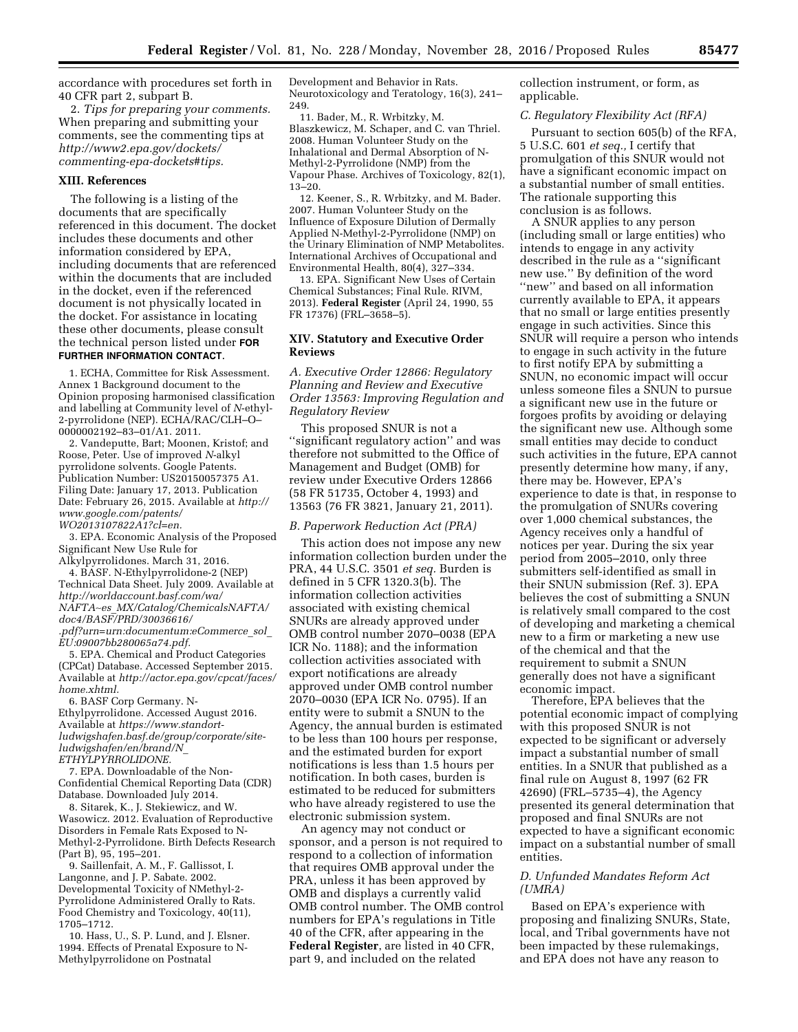accordance with procedures set forth in 40 CFR part 2, subpart B.

2. *Tips for preparing your comments.*  When preparing and submitting your comments, see the commenting tips at *[http://www2.epa.gov/dockets/](http://www2.epa.gov/dockets/commenting-epa-dockets#tips)  [commenting-epa-dockets#tips.](http://www2.epa.gov/dockets/commenting-epa-dockets#tips)* 

#### **XIII. References**

The following is a listing of the documents that are specifically referenced in this document. The docket includes these documents and other information considered by EPA, including documents that are referenced within the documents that are included in the docket, even if the referenced document is not physically located in the docket. For assistance in locating these other documents, please consult the technical person listed under **FOR FURTHER INFORMATION CONTACT**.

1. ECHA, Committee for Risk Assessment. Annex 1 Background document to the Opinion proposing harmonised classification and labelling at Community level of *N*-ethyl-2-pyrrolidone (NEP). ECHA/RAC/CLH–O– 0000002192–83–01/A1. 2011.

2. Vandeputte, Bart; Moonen, Kristof; and Roose, Peter. Use of improved *N*-alkyl pyrrolidone solvents. Google Patents. Publication Number: US20150057375 A1. Filing Date: January 17, 2013. Publication Date: February 26, 2015. Available at *[http://](http://www.google.com/patents/WO2013107822A1?cl=en) [www.google.com/patents/](http://www.google.com/patents/WO2013107822A1?cl=en)  [WO2013107822A1?cl=en.](http://www.google.com/patents/WO2013107822A1?cl=en)* 

3. EPA. Economic Analysis of the Proposed Significant New Use Rule for Alkylpyrrolidones. March 31, 2016.

4. BASF. N-Ethylpyrrolidone-2 (NEP) Technical Data Sheet. July 2009. Available at *[http://worldaccount.basf.com/wa/](http://worldaccount.basf.com/wa/NAFTA~es_MX/Catalog/ChemicalsNAFTA/doc4/BASF/PRD/30036616/.pdf?urn=urn:documentum:eCommerce_sol_EU:09007bb280065a74.pdf)  NAFTA*∼*es*\_*[MX/Catalog/ChemicalsNAFTA/](http://worldaccount.basf.com/wa/NAFTA~es_MX/Catalog/ChemicalsNAFTA/doc4/BASF/PRD/30036616/.pdf?urn=urn:documentum:eCommerce_sol_EU:09007bb280065a74.pdf) [doc4/BASF/PRD/30036616/](http://worldaccount.basf.com/wa/NAFTA~es_MX/Catalog/ChemicalsNAFTA/doc4/BASF/PRD/30036616/.pdf?urn=urn:documentum:eCommerce_sol_EU:09007bb280065a74.pdf)  [.pdf?urn=urn:documentum:eCommerce](http://worldaccount.basf.com/wa/NAFTA~es_MX/Catalog/ChemicalsNAFTA/doc4/BASF/PRD/30036616/.pdf?urn=urn:documentum:eCommerce_sol_EU:09007bb280065a74.pdf)*\_*sol*\_ *[EU:09007bb280065a74.pdf.](http://worldaccount.basf.com/wa/NAFTA~es_MX/Catalog/ChemicalsNAFTA/doc4/BASF/PRD/30036616/.pdf?urn=urn:documentum:eCommerce_sol_EU:09007bb280065a74.pdf)* 

5. EPA. Chemical and Product Categories (CPCat) Database. Accessed September 2015. Available at *[http://actor.epa.gov/cpcat/faces/](http://actor.epa.gov/cpcat/faces/home.xhtml)  [home.xhtml.](http://actor.epa.gov/cpcat/faces/home.xhtml)* 

6. BASF Corp Germany. N-Ethylpyrrolidone. Accessed August 2016. Available at *[https://www.standort](https://www.standort-ludwigshafen.basf.de/group/corporate/site-ludwigshafen/en/brand/N_ETHYLPYRROLIDONE)[ludwigshafen.basf.de/group/corporate/site](https://www.standort-ludwigshafen.basf.de/group/corporate/site-ludwigshafen/en/brand/N_ETHYLPYRROLIDONE)[ludwigshafen/en/brand/N](https://www.standort-ludwigshafen.basf.de/group/corporate/site-ludwigshafen/en/brand/N_ETHYLPYRROLIDONE)*\_ *[ETHYLPYRROLIDONE.](https://www.standort-ludwigshafen.basf.de/group/corporate/site-ludwigshafen/en/brand/N_ETHYLPYRROLIDONE)* 

7. EPA. Downloadable of the Non-Confidential Chemical Reporting Data (CDR) Database. Downloaded July 2014.

8. Sitarek, K., J. Stekiewicz, and W. Wasowicz. 2012. Evaluation of Reproductive Disorders in Female Rats Exposed to N-Methyl-2-Pyrrolidone. Birth Defects Research (Part B), 95, 195–201.

9. Saillenfait, A. M., F. Gallissot, I. Langonne, and J. P. Sabate. 2002. Developmental Toxicity of NMethyl-2- Pyrrolidone Administered Orally to Rats. Food Chemistry and Toxicology, 40(11), 1705–1712.

10. Hass, U., S. P. Lund, and J. Elsner. 1994. Effects of Prenatal Exposure to N-Methylpyrrolidone on Postnatal

Development and Behavior in Rats. Neurotoxicology and Teratology, 16(3), 241– 249.

11. Bader, M., R. Wrbitzky, M. Blaszkewicz, M. Schaper, and C. van Thriel. 2008. Human Volunteer Study on the Inhalational and Dermal Absorption of N-Methyl-2-Pyrrolidone (NMP) from the Vapour Phase. Archives of Toxicology, 82(1), 13–20.

12. Keener, S., R. Wrbitzky, and M. Bader. 2007. Human Volunteer Study on the Influence of Exposure Dilution of Dermally Applied N-Methyl-2-Pyrrolidone (NMP) on the Urinary Elimination of NMP Metabolites. International Archives of Occupational and Environmental Health, 80(4), 327–334.

13. EPA. Significant New Uses of Certain Chemical Substances; Final Rule. RIVM, 2013). **Federal Register** (April 24, 1990, 55 FR 17376) (FRL–3658–5).

#### **XIV. Statutory and Executive Order Reviews**

*A. Executive Order 12866: Regulatory Planning and Review and Executive Order 13563: Improving Regulation and Regulatory Review* 

This proposed SNUR is not a ''significant regulatory action'' and was therefore not submitted to the Office of Management and Budget (OMB) for review under Executive Orders 12866 (58 FR 51735, October 4, 1993) and 13563 (76 FR 3821, January 21, 2011).

#### *B. Paperwork Reduction Act (PRA)*

This action does not impose any new information collection burden under the PRA, 44 U.S.C. 3501 *et seq.* Burden is defined in 5 CFR 1320.3(b). The information collection activities associated with existing chemical SNURs are already approved under OMB control number 2070–0038 (EPA ICR No. 1188); and the information collection activities associated with export notifications are already approved under OMB control number 2070–0030 (EPA ICR No. 0795). If an entity were to submit a SNUN to the Agency, the annual burden is estimated to be less than 100 hours per response, and the estimated burden for export notifications is less than 1.5 hours per notification. In both cases, burden is estimated to be reduced for submitters who have already registered to use the electronic submission system.

An agency may not conduct or sponsor, and a person is not required to respond to a collection of information that requires OMB approval under the PRA, unless it has been approved by OMB and displays a currently valid OMB control number. The OMB control numbers for EPA's regulations in Title 40 of the CFR, after appearing in the **Federal Register**, are listed in 40 CFR, part 9, and included on the related

collection instrument, or form, as applicable.

### *C. Regulatory Flexibility Act (RFA)*

Pursuant to section 605(b) of the RFA, 5 U.S.C. 601 *et seq.,* I certify that promulgation of this SNUR would not have a significant economic impact on a substantial number of small entities. The rationale supporting this conclusion is as follows.

A SNUR applies to any person (including small or large entities) who intends to engage in any activity described in the rule as a ''significant new use.'' By definition of the word ''new'' and based on all information currently available to EPA, it appears that no small or large entities presently engage in such activities. Since this SNUR will require a person who intends to engage in such activity in the future to first notify EPA by submitting a SNUN, no economic impact will occur unless someone files a SNUN to pursue a significant new use in the future or forgoes profits by avoiding or delaying the significant new use. Although some small entities may decide to conduct such activities in the future, EPA cannot presently determine how many, if any, there may be. However, EPA's experience to date is that, in response to the promulgation of SNURs covering over 1,000 chemical substances, the Agency receives only a handful of notices per year. During the six year period from 2005–2010, only three submitters self-identified as small in their SNUN submission (Ref. 3). EPA believes the cost of submitting a SNUN is relatively small compared to the cost of developing and marketing a chemical new to a firm or marketing a new use of the chemical and that the requirement to submit a SNUN generally does not have a significant economic impact.

Therefore, EPA believes that the potential economic impact of complying with this proposed SNUR is not expected to be significant or adversely impact a substantial number of small entities. In a SNUR that published as a final rule on August 8, 1997 (62 FR 42690) (FRL–5735–4), the Agency presented its general determination that proposed and final SNURs are not expected to have a significant economic impact on a substantial number of small entities.

### *D. Unfunded Mandates Reform Act (UMRA)*

Based on EPA's experience with proposing and finalizing SNURs, State, local, and Tribal governments have not been impacted by these rulemakings, and EPA does not have any reason to